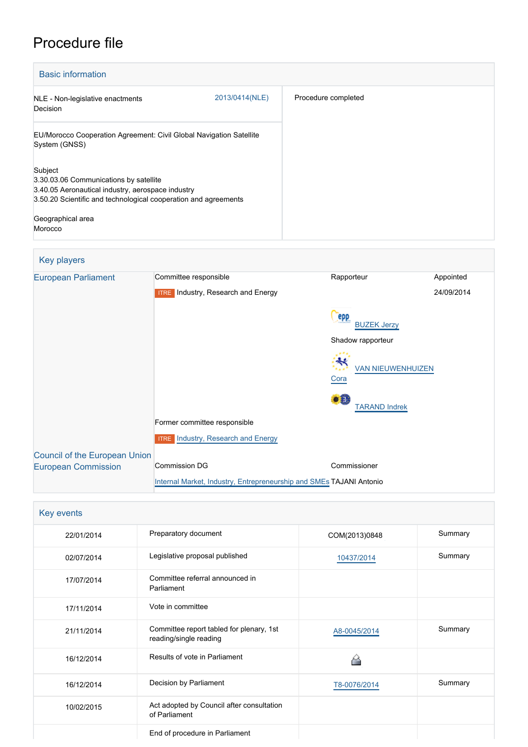# Procedure file

| <b>Basic information</b>                                                                                                                                                  |                |                     |
|---------------------------------------------------------------------------------------------------------------------------------------------------------------------------|----------------|---------------------|
| NLE - Non-legislative enactments<br>Decision                                                                                                                              | 2013/0414(NLE) | Procedure completed |
| EU/Morocco Cooperation Agreement: Civil Global Navigation Satellite<br>System (GNSS)                                                                                      |                |                     |
| Subject<br>3.30.03.06 Communications by satellite<br>3.40.05 Aeronautical industry, aerospace industry<br>3.50.20 Scientific and technological cooperation and agreements |                |                     |
| Geographical area<br>Morocco                                                                                                                                              |                |                     |

## Key players

| <b>European Parliament</b>           | Committee responsible                                               | Rapporteur                               | Appointed  |  |
|--------------------------------------|---------------------------------------------------------------------|------------------------------------------|------------|--|
|                                      | <b>ITRE</b> Industry, Research and Energy                           |                                          | 24/09/2014 |  |
|                                      |                                                                     | epp<br><b>BUZEK Jerzy</b>                |            |  |
|                                      |                                                                     | Shadow rapporteur                        |            |  |
|                                      |                                                                     | <b>VAN NIEUWENHUIZEN</b><br>Cora         |            |  |
|                                      |                                                                     | $\bullet$ $\Box$<br><b>TARAND Indrek</b> |            |  |
|                                      | Former committee responsible                                        |                                          |            |  |
|                                      | <b>ITRE</b> Industry, Research and Energy                           |                                          |            |  |
| <b>Council of the European Union</b> |                                                                     |                                          |            |  |
| <b>European Commission</b>           | <b>Commission DG</b>                                                | Commissioner                             |            |  |
|                                      | Internal Market, Industry, Entrepreneurship and SMEs TAJANI Antonio |                                          |            |  |

| Key events |                                                                    |               |         |
|------------|--------------------------------------------------------------------|---------------|---------|
| 22/01/2014 | Preparatory document                                               | COM(2013)0848 | Summary |
| 02/07/2014 | Legislative proposal published                                     | 10437/2014    | Summary |
| 17/07/2014 | Committee referral announced in<br>Parliament                      |               |         |
| 17/11/2014 | Vote in committee                                                  |               |         |
| 21/11/2014 | Committee report tabled for plenary, 1st<br>reading/single reading | A8-0045/2014  | Summary |
| 16/12/2014 | Results of vote in Parliament                                      |               |         |
| 16/12/2014 | Decision by Parliament                                             | T8-0076/2014  | Summary |
| 10/02/2015 | Act adopted by Council after consultation<br>of Parliament         |               |         |
|            | End of procedure in Parliament                                     |               |         |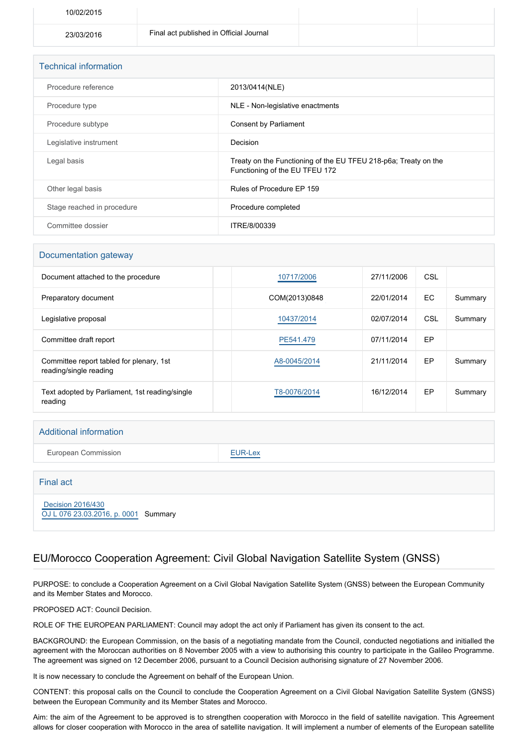| 10/02/2015 |                                         |  |
|------------|-----------------------------------------|--|
| 23/03/2016 | Final act published in Official Journal |  |

| <b>Technical information</b> |                                                                                                   |  |
|------------------------------|---------------------------------------------------------------------------------------------------|--|
| Procedure reference          | 2013/0414(NLE)                                                                                    |  |
| Procedure type               | NLE - Non-legislative enactments                                                                  |  |
| Procedure subtype            | <b>Consent by Parliament</b>                                                                      |  |
| Legislative instrument       | Decision                                                                                          |  |
| Legal basis                  | Treaty on the Functioning of the EU TFEU 218-p6a; Treaty on the<br>Functioning of the EU TFEU 172 |  |
| Other legal basis            | Rules of Procedure EP 159                                                                         |  |
| Stage reached in procedure   | Procedure completed                                                                               |  |
| Committee dossier            | ITRE/8/00339                                                                                      |  |

#### Documentation gateway

| Document attached to the procedure                                 | 10717/2006    | 27/11/2006 | CSL |         |
|--------------------------------------------------------------------|---------------|------------|-----|---------|
| Preparatory document                                               | COM(2013)0848 | 22/01/2014 | EC. | Summary |
| Legislative proposal                                               | 10437/2014    | 02/07/2014 | CSL | Summary |
| Committee draft report                                             | PE541.479     | 07/11/2014 | EP  |         |
| Committee report tabled for plenary, 1st<br>reading/single reading | A8-0045/2014  | 21/11/2014 | EP  | Summary |
| Text adopted by Parliament, 1st reading/single<br>reading          | T8-0076/2014  | 16/12/2014 | EP  | Summary |

#### Additional information

European Commission **[EUR-Lex](http://ec.europa.eu/prelex/liste_resultats.cfm?CL=en&ReqId=0&DocType=NLE&DocYear=2013&DocNum=0414)** 

Final act

 [Decision 2016/430](https://eur-lex.europa.eu/smartapi/cgi/sga_doc?smartapi!celexplus!prod!CELEXnumdoc&lg=EN&numdoc=32016D0430) [OJ L 076 23.03.2016, p. 0001](https://eur-lex.europa.eu/legal-content/EN/TXT/?uri=OJ:L:2016:076:TOC) Summary

#### EU/Morocco Cooperation Agreement: Civil Global Navigation Satellite System (GNSS)

PURPOSE: to conclude a Cooperation Agreement on a Civil Global Navigation Satellite System (GNSS) between the European Community and its Member States and Morocco.

PROPOSED ACT: Council Decision.

ROLE OF THE EUROPEAN PARLIAMENT: Council may adopt the act only if Parliament has given its consent to the act.

BACKGROUND: the European Commission, on the basis of a negotiating mandate from the Council, conducted negotiations and initialled the agreement with the Moroccan authorities on 8 November 2005 with a view to authorising this country to participate in the Galileo Programme. The agreement was signed on 12 December 2006, pursuant to a Council Decision authorising signature of 27 November 2006.

It is now necessary to conclude the Agreement on behalf of the European Union.

CONTENT: this proposal calls on the Council to conclude the Cooperation Agreement on a Civil Global Navigation Satellite System (GNSS) between the European Community and its Member States and Morocco.

Aim: the aim of the Agreement to be approved is to strengthen cooperation with Morocco in the field of satellite navigation. This Agreement allows for closer cooperation with Morocco in the area of satellite navigation. It will implement a number of elements of the European satellite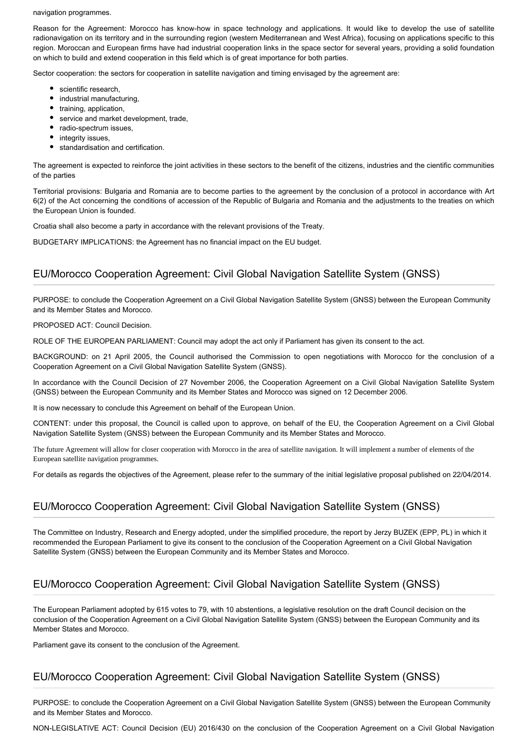navigation programmes.

Reason for the Agreement: Morocco has know-how in space technology and applications. It would like to develop the use of satellite radionavigation on its territory and in the surrounding region (western Mediterranean and West Africa), focusing on applications specific to this region. Moroccan and European firms have had industrial cooperation links in the space sector for several years, providing a solid foundation on which to build and extend cooperation in this field which is of great importance for both parties.

Sector cooperation: the sectors for cooperation in satellite navigation and timing envisaged by the agreement are:

- scientific research,
- industrial manufacturing,
- training, application,
- service and market development, trade,
- radio-spectrum issues,
- integrity issues,
- $\bullet$ standardisation and certification.

The agreement is expected to reinforce the joint activities in these sectors to the benefit of the citizens, industries and the cientific communities of the parties

Territorial provisions: Bulgaria and Romania are to become parties to the agreement by the conclusion of a protocol in accordance with Art 6(2) of the Act concerning the conditions of accession of the Republic of Bulgaria and Romania and the adjustments to the treaties on which the European Union is founded.

Croatia shall also become a party in accordance with the relevant provisions of the Treaty.

BUDGETARY IMPLICATIONS: the Agreement has no financial impact on the EU budget.

#### EU/Morocco Cooperation Agreement: Civil Global Navigation Satellite System (GNSS)

PURPOSE: to conclude the Cooperation Agreement on a Civil Global Navigation Satellite System (GNSS) between the European Community and its Member States and Morocco.

PROPOSED ACT: Council Decision.

ROLE OF THE EUROPEAN PARLIAMENT: Council may adopt the act only if Parliament has given its consent to the act.

BACKGROUND: on 21 April 2005, the Council authorised the Commission to open negotiations with Morocco for the conclusion of a Cooperation Agreement on a Civil Global Navigation Satellite System (GNSS).

In accordance with the Council Decision of 27 November 2006, the Cooperation Agreement on a Civil Global Navigation Satellite System (GNSS) between the European Community and its Member States and Morocco was signed on 12 December 2006.

It is now necessary to conclude this Agreement on behalf of the European Union.

CONTENT: under this proposal, the Council is called upon to approve, on behalf of the EU, the Cooperation Agreement on a Civil Global Navigation Satellite System (GNSS) between the European Community and its Member States and Morocco.

The future Agreement will allow for closer cooperation with Morocco in the area of satellite navigation. It will implement a number of elements of the European satellite navigation programmes.

For details as regards the objectives of the Agreement, please refer to the summary of the initial legislative proposal published on 22/04/2014.

## EU/Morocco Cooperation Agreement: Civil Global Navigation Satellite System (GNSS)

The Committee on Industry, Research and Energy adopted, under the simplified procedure, the report by Jerzy BUZEK (EPP, PL) in which it recommended the European Parliament to give its consent to the conclusion of the Cooperation Agreement on a Civil Global Navigation Satellite System (GNSS) between the European Community and its Member States and Morocco.

## EU/Morocco Cooperation Agreement: Civil Global Navigation Satellite System (GNSS)

The European Parliament adopted by 615 votes to 79, with 10 abstentions, a legislative resolution on the draft Council decision on the conclusion of the Cooperation Agreement on a Civil Global Navigation Satellite System (GNSS) between the European Community and its Member States and Morocco.

Parliament gave its consent to the conclusion of the Agreement.

#### EU/Morocco Cooperation Agreement: Civil Global Navigation Satellite System (GNSS)

PURPOSE: to conclude the Cooperation Agreement on a Civil Global Navigation Satellite System (GNSS) between the European Community and its Member States and Morocco.

NON-LEGISLATIVE ACT: Council Decision (EU) 2016/430 on the conclusion of the Cooperation Agreement on a Civil Global Navigation